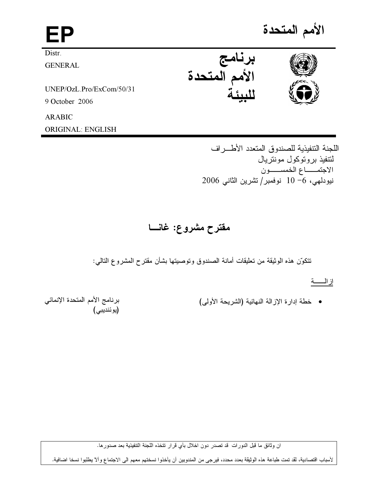| FΡ                       |                         | الأمم المتحدة |
|--------------------------|-------------------------|---------------|
| Distr.                   |                         |               |
| <b>GENERAL</b>           | برنامج<br>الأمم المتحدة |               |
| UNEP/OzL.Pro/ExCom/50/31 |                         |               |
| 9 October 2006           |                         |               |
| <b>ARABIC</b>            |                         |               |
| ORIGINAL: ENGLISH        |                         |               |

اللجنة التتفيذية للصندوق المتعدد الأطراف لتتفيذ بروتوكول مونتريال الاجتمــاع الخمســـون نيودلمي، 6- 10 نوفمبر/تشرين الثاني 2006

# مقترح مشروع: غانسا

تتكوّن هذه الوثيقة من تعليقات أمانة الصندوق وتوصيتها بشأن مقترح المشروع التالمي:

إ<u>ز الـــــة</u>

• خطة إدارة الإزالة النهائية (الشريحة الأولى)

برنامج الأمم المتحدة الإنمائي<br>(يوئنديبي)

ان وثائق ما قبل الدورات قد تصدر دون اخلال بأي قرار تتخذه اللجنة التنفيذية بعد صدورها.

لأسباب اقتصادية، لقد تمت طباعة هذه الوثيقة بعدد محدد، فيرجى من المندوبين أن يأخذوا نسختهم معهم الى الاجتماع وألا يطلبوا نسخا اضافية.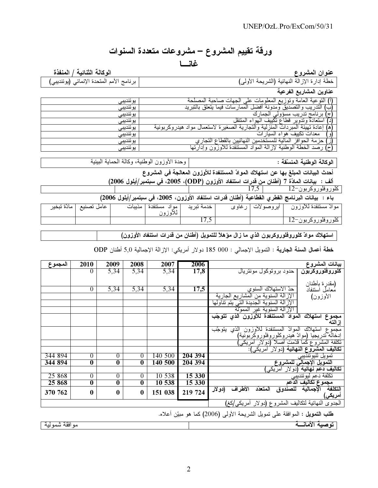# ورقة تقييم المشروع – مشروعات متعددة السنوات غانسا

الوكالة الثنائية / المنفذة

عنوان المشروع<br>خطة إدارة الإزالة النهائية (الشريحة الأولى)<br>عناوين المشاريع الفرعية

برنامج الأمم المتحدة الإنمائي (يوئنديبي)

| يوننديبي  | الته عده<br>صاحنه المصلحة<br>ونوزيع<br>العامه<br>الحمات<br>المعله ماا                 |
|-----------|---------------------------------------------------------------------------------------|
| يوئنديبي  | فيما يتعلق<br>الممار سات ک<br>بالتبريد                                                |
| يوئنديبي  | ك<br>الحمار                                                                           |
| بو ئنديبي | استعادة وتدوير قطاع نكييف المهواء المنتقل                                             |
| بو ئنديبي | إعادة تهيئة المبرد<br>المنز<br>التجاريه الصغيرة لاستعمال<br>رليه<br>مو اد             |
| بوندببي   | معدات تكييف هواء السيارات                                                             |
| يوئنديبي  | المالية للمستخدمين<br>، ا <b>لنهآئيين د</b> ان <sup>ي</sup><br>افز<br>الحو .          |
| يوئنديبي  | الخطة الوطنية لإزالة المواد المستنفدة ا<br>تىھا<br>. <del>للأوزون</del> وإدار ً<br>صد |

الوكالة الوطنية المنسقة :

وحدة الأوزون الوطنية، وكالة الحماية البيئية

أحدث البيانات المبلغ بها عن استهلاك الموادّ المستنفدة للأوزون المعالجة في المشروع

ألف : بيانات المادّة 7 (أطنان من قدرات استنفاد الأوزون (ODP)، 2005، في سبتمبر/أيلول 2006)  $17,5$ 

باء : بيانات البرنامج القطري القطاعية (أطنان قدرات استنفاد الأوزون، 2005، في سبتمبر/أيلول 2006)

| ً مادّة تبخير | عامل تصنيع | مديبات | مستنفدة<br>مه اد | خدمة تبريد | رغاوى | ایروصو لات | موات مستنفدة للاوزون     |
|---------------|------------|--------|------------------|------------|-------|------------|--------------------------|
|               |            |        |                  | 11.J       |       |            | $12$ ر و فلو ر و کر يو ن |

استهلاك موادّ كلوروفلوروكربون الذي ما زال مؤهلاً للتمويل (أطنان من قدرات استنفاد الأوزون)

خطة أعمال السنة الجارية : النمويل الإجمالي : 000 185 دولار أمريكي: الإزالة الإجمالية 5٫0 أطنان ODP

| المجموع | 2010                                                        | 2009                    | 2008                    | 2007    | 2006    | بيانات المشروع                                                            |  |  |
|---------|-------------------------------------------------------------|-------------------------|-------------------------|---------|---------|---------------------------------------------------------------------------|--|--|
|         | $\theta$                                                    | 5,34                    | 5,34                    | 5,34    | 17,8    | حدود بروتوكول مونتريال<br><u> کلوروفلوروکربون</u>                         |  |  |
|         |                                                             |                         |                         |         |         |                                                                           |  |  |
|         | 0                                                           | 5,34                    | 5,34                    | 5,34    | 17,5    | (مقدرة بأطنان<br>معامل استنفاد<br>حدّ الاستهلاك السنوى                    |  |  |
|         |                                                             |                         |                         |         |         |                                                                           |  |  |
|         |                                                             |                         |                         |         |         | الإزالة السنوية من المشاريع الجارية<br>الأوزون)                           |  |  |
|         |                                                             |                         |                         |         |         | الإزالة السنوية الجديدة التي يتم تناولها                                  |  |  |
|         |                                                             |                         |                         |         |         | الإزالة السنوية غير الممولة                                               |  |  |
|         |                                                             |                         |                         |         |         | المواد المستنفدة للأوزون الذى تتوجب<br>استهلاك<br>مجموع                   |  |  |
|         |                                                             |                         |                         |         |         | إزالته                                                                    |  |  |
|         |                                                             |                         |                         |         |         | المستنفدة للأوزون الذي يتوجّب<br>المو <sup>ا</sup> لہ<br>استهلاك<br>مجموع |  |  |
|         |                                                             |                         |                         |         |         | إدخاله تدريجيا (موادّ هيدروكلوروفلوروكربونية)                             |  |  |
|         |                                                             |                         |                         |         |         | تكلفة المشروع كما قدّمت اصلا<br>(دو لار امریکی                            |  |  |
|         |                                                             |                         |                         |         |         | تكاليف المشروع النهائية (دولار آمريكي):                                   |  |  |
| 344 894 | $\overline{0}$                                              | $\overline{0}$          | $\theta$                | 140 500 | 204 394 | تمويل لليوئنديبي                                                          |  |  |
| 344 894 | $\bf{0}$                                                    | $\bf{0}$                | $\bf{0}$                | 140 500 | 204 394 | التَمُويل الإجمالَى للمشروع                                               |  |  |
|         |                                                             |                         |                         |         |         | تكاليف دعم نهائيه<br>(دو لار امریکی)                                      |  |  |
| 25 868  | $\boldsymbol{0}$                                            | $\theta$                | $\theta$                | 10 538  | 15 330  | تكلفة دعم ليوئندييي<br>مجموع تكاليف الدعم                                 |  |  |
| 25 868  | $\bf{0}$                                                    | $\overline{\mathbf{0}}$ | $\overline{\mathbf{0}}$ | 10 538  | 15 330  |                                                                           |  |  |
| 370 762 | $\boldsymbol{0}$                                            | $\bf{0}$                | $\bf{0}$                | 151 038 | 219 724 | التكلفة<br>الإجمالية للصندوق<br>الاطراف<br>المتعدد<br>(دو لار             |  |  |
|         |                                                             |                         |                         |         |         | أمريكي)                                                                   |  |  |
|         |                                                             |                         |                         |         |         | الحدوى النهائية لنكاليف المشروع (دولار أمريكي/كغ)                         |  |  |
|         | .<br>الجماعة والمستحيل والمتناول والمتحدث والمحافظ والمناسب |                         |                         |         |         |                                                                           |  |  |

**طلب التمويل :** الموافقة على تمويل الشريحة الأولى (2006) كما هو مبيّن أعلاه.

| . .<br>$\sim$ | ___<br>- - |
|---------------|------------|
|               |            |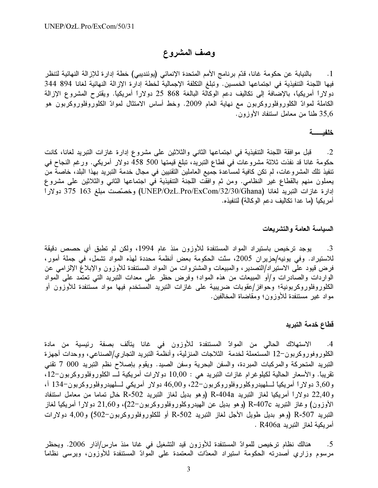## وصف المشروع

1. بالنيابة عن حكومة غانا، قدّم برنامج الأمم المتحدة الإنمائي (يوئنديبي) خطة إدار ة للإزالة النهائية لتنظر فيها اللجنة التنفيذية في اجتماعها الخمسين. وتبلغ التكلفة الإجمالية لخطة إدارة الإزالة النهائية لغانا 894 344 دولاراً أمريكياً، بالإضافة إلى تكاليف دعم الوكالة البالغة 868 25 دولاراً أمريكياً. ويقترح المشروع الإزالة الكاملة لموادّ الكلوروفلوروكربون مع نهاية العام 2009. وخط أساس الامتثال لموادّ الكلوروفلوروكربون هو 35,6 طناً من معامل استنفاد الأوزون.

#### خلفيـــــــــة

2. قبل موافقة اللجنة التنفيذية في اجتماعها الثاني والثلاثين على مشروع إدارة غازات التبريد لغانا، كانت حكومة غانا قد نفذت ثلاثة مشروعات في قطاع التبريد، تبلغ قيمتها 500 458 دولار أمريكي. ورغم النجاح في تنفيذ تلك المشروعات، لم تكن كافية لمساعدة جميع العاملين التقنيين في مجال خدمة التبريد بهذا البلد، خاصـة من يعملون منهم بالقطاع غير النظامي. ومن ثم وافقت اللجنة التنفيذية في اجتماعها الثاني والثلاثين على مشروع إدارة غازات التبريد لغانا (UNEP/OzL.Pro/ExCom/32/30/Ghana) وخصّصت مبلغ 163 375 دولاراً أمر يكياً (ما عدا تكاليف دعم الوكالة) لتنفيذه.

#### السياسة العامة والتشريعات

3. يوجد ترخيص باستيراد المواد المستنفدة للأوزون منذ عام 1994، ولكن لم تطبق أي حصص دقيقة للاستيراد. وفي يونيه/حزيران 2005، سنّت الحكومة بعض أنظمة محددة لهذه المواد تشمل، في جملة أمور، فرض قيود على الاستيراد/التصدير ، والمبيعات والمشتروات من المواد المستنفدة للأوزون والإبلاغ الإلزامي عن الواردات والصادرات و/أو المبيعات من هذه المواد؛ وفرض حظر على معدات التبريد التي تعتمد على المواد الكلوروفلوروكربونية؛ وحوافز/عقوبات ضريبية على غازات التبريد المستخدم فيها مواد مستنفدة للأوزون أو مواد غير مستنفدة للأوزون؛ ومقاضاة المخالفين.

#### قطاع خدمة التبريد

4. الاستهلاك الحالي من الموادّ المستنفدة للأوزون في غانا يتألف بصفة رئيسية من مادة الكلوروفوروكربون-12 المستعملة لخدمة الثلاجات المنزلية، وأنظمة التبريد النجاري/الصناعي، ووحدات أجهزة التبريد المتحركة والمركبات المبردة، والسفن البحرية وسفن الصيد. ويقوم بإصلاح نظم التبريد 000 7 تقني نقريبًا. والأسعار الحالية لكيلوغرام غازات النبريد هي : 10,00 دولارات أمريكية لـــ الكلوروفلوروكربون–12، و3,60 دولارا أمريكيا للهيدروكلوروفلوروكربون-22، و46,00 دولار أمريكي لللهيدروفلوروكربون-134 أ، وR-404a (وهو بديل لغار القبريد R-404a) و هو بديل الغاز القبريد R-502 خالٍ تماما من معامل استنفاد الأوزون) وغاز النتبريد R-407c (وهو بديل عن الهيدروكلوروفلوروكربون–22)، و21,60 دولاراً أمريكياً لغاز التبريد 507-R (وهو بديل طويل الأجل لغاز التبريد R-502 أو للكلوروفلوروكربون–502) و4,00 دولارات . R406a أمر بكبة لغاز النير بد

هنالك نظام ترخيص للموادّ المستنفدة للأوزون قيد التشغيل في غانا منذ مارس/آذار 2006. ويحظر .5 مرسوم وزاري أصدرته الحكومة استيراد المعدّات المعتمدة على الموادّ المستنفدة للأوزون، ويرسى نظاماً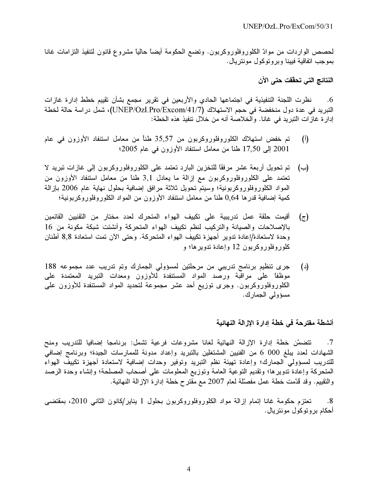لمصص الواردات من موادّ الكلوروفلوروكربون. وتضع الحكومة أيضاً حالياً مشروع قانون لتنفيذ التزامات غانا بموجب اتفاقية فيينا وبروتوكول مونتريال.

النتائج التي تحقّقت حتى الآن

نظرت اللجنة التنفيذية في اجتماعها الحادي والأربعين في تقرير مجمع بشأن تقييم خطط إدارة غازات  $.6$ التبريد في عدة دول منخفضة في حجم الاستهلاك (UNEP/Ozl.Pro/Excom/41/7)، شمل در اسة حالة لخطة إدار ة غاز ات التبريد في غانا. والخلاصة أنه من خلال تنفيذ هذه الخطة:

- تم خفض استهلاك الكلوروفلوروكربون من 35٫57 طنأ من معامل استنفاد الأوزون في عام  $\left($ <sup>i</sup>) 2001 إلى 17,50 طناً من معامل استنفاد الأوزون في عام 2005؛
- تم تحويل أربعة عشر مرفقًا للتخزين البارد تعتمد على الكلوروفلوروكربون إلى غازات تبريد لا (ب) تعتمد على الكلوروفلوروكربون مع إزالة ما يعادل 3٫1 طناً من معامل استنفاد الأوزون من المواد الكلوروفلوروكربونية؛ وسيتم تحويل ثلاثة مرافق إضافية بحلول نهاية عام 2006 بإزالة كمية إضافية قدرها 0٫64 طناً من معامل استنفاد الأوزون من المواد الكلوروفلوروكربونية؛
- أقيمت حلقة عمل تدريبية على تكييف الهواء المتحرك لعدد مختار من التقنيين القائمين  $(\tau)$ بالإصلاحات والصيانة والتركيب لنظم تكييف الهواء المتحركة وأنشئت شبكة مكونة من 16 وحدة لاستعادة/إعادة تدوير أجهزة تكييف الهواء المتحركة. وحتى الآن تمت استعادة 8,8 أطنان كلوروفلوروكربون 12 وإعادة تدويرها؛ و
- جرى تنظيم برنامج تدريبي من مرحلتين لمسؤولي الجمارك وتم تدريب عدد مجموعه 188  $(\lceil \cdot \rceil)$ موظفاً على مراقبة ورصّد المواد المستنفدة للأوزون ومعدات التبريد المعتمدة على الكلوروفلوروكربون. وجرى توزيع أحد عشر مجموعة لتحديد المواد المستنفدة للأوزون على مسؤولي الجمارك.

#### أنشطة مقترحة في خطة إدارة الإزالة النهائية

تتضمَّن خطة إدارة الإزالة النهائية لغانا مشروعات فرعية نشمل: برنامجا إضافيا للتدريب ومنح  $.7$ الشهادات لعدد يبلغ 000 6 من الفنيين المشتغلين بالتبريد وإعداد مدونة للممارسات الجيدة؛ وبرنامج إضافي للتدريب لمسؤولى الجمارك؛ وإعادة تهيئة نظم التبريد وتوفير وحدات إضافية لاستعادة أجهزة تكييف الهواء المتحركة وإعادة تدويرها؛ وتقديم التوعية العامة وتوزيع المعلومات على أصحاب المصلحة؛ وإنشاء وحدة الرصد والتقييم. وقد ڤُدَّمت خطَّة عمل مفصَّلة لمعام 2007 مع مقترح خطَّة إدارة الإزالة النهائية.

تعتزم حكومة غانا إتمام إزالة مواد الكلوروفلوروكربون بحلول 1 يناير/كانون الثاني 2010، بمقتضى .8 أحكام بر و تو كو ل مو نتر يال .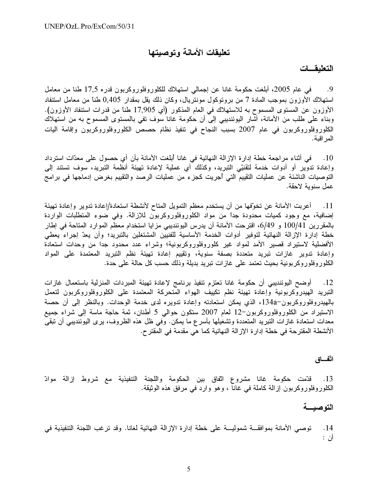## تعليقات الأمانة وتوصيتها

#### التعليقسات

9. في عام 2005، أبلغت حكومة غانا عن إجمالي استهلاك للكلوروفلوروكربون قدره 17٫5 طنا من معامل استهلاك الأوزون بموجب المادة 7 من بروتوكول مونتريال، وكان ذلك يقل بمقدار 0,405 طناً من معامل استنفاد الأوزون عن المستوى المسموح به للاستهلاك في العام المذكور (أي 17٫905 طناً من قدرات استنفاد الأوزون). وبناء على طلب من الأمانة، أشار اليوئنديبي إلى أن حكومة غانا سوف نفي بالمستوى المسموح به من استهلاك الكلوروفلوروكربون في عام 2007 بسبب النجاح في نتفيذ نظام حصص الكلوروفلوروكربون وإقامة أليات المر اقبة.

في أثناء مراجعة خطة إدارة الإزالة النهائية في غانا أبلغت الأمانة بأن أي حصول على معدّات استرداد  $\overline{\phantom{0}}$  . 10 وإعادة تدوير أو أدوات خدمة لتقنيّى التبريد، وكذلك أي عملية لإعادة تهيئة أنظمة التبريد، سوف تستند إلى التوصيات الناشئة عن عمليات التقييم التي أجريت كجزء من عمليات الرصد والتقييم بغرض إدماجها في برامج عمل سنوية لاحقة.

11. أعربت الأمانة عن تخوّفها من أن يستخدم معظم التمويل المتاح لأنشطة استعادة/إعادة تدوير وإعادة تهيئة إضافية، مع وجود كميات محدودة جداً من مواد الكلوروفلوروكربون للإزالة. وفي ضوء المتطلبات الواردة بالمقررين 100/41 و 6/49، اقترحت الأمانة أن يدرس اليوئنديبي مز ايا استخدام معظم الموارد المتاحة في إطار خطة إدار ة الإزالة النهائية لتوفير أدوات الخدمة الأساسية للفنيين المشتغلين بالتبريد؛ وأن يعدّ إجراء يعطى الأفضلية لاستيراد قصير الأمد لمواد غير كلوروفلوروكربونية؛ وشراء عدد محدود جدا من وحدات استعادة وإعادة تدوير غازات تبريد متعددة بصفة سنوية، وتقييم إعادة تهيئة نظم التبريد المعتمدة على المواد الكلوروفلوروكربونية بحيث تعتمد على غازات تبريد بديلة وذلك حسب كل حالة على حدة.

12. أوضح اليوئنديبي أن حكومة غانا تعتزم تنفيذ برنامج لإعادة تهيئة المبردات المنزلية باستعمال غازات التبريد المهيدروكربونية وإعادة تهيئة نظم تكييف الهواء المتحركة المعتمدة على الكلوروفلوروكربون لتعمل بالهيدروفلوروكربون-134a، الذي يمكن استعادته وإعادة تدويره لدى خدمة الوحدات. وبالنظر إلى أن حصة الاستيراد من الكلوروفلوروكربون-12 لعام 2007 ستكون حوالى 5 أطنان، ثمة حاجة ماسة إلى شراء جميع معدات استعادة غازات التبريد المتعددة وتشغيلها بأسرع ما يمكن. وفي ظل هذه الظروف، يرى اليوئنديبي أن تبقى الأنشطة المقتر حة في خطة إدار ة الإز الة النهائية كما هي مقدمة في المقتر ح.

#### اتّفاق

13. قدّمت حكومة غانا مشروع اتّفاق بين الحكومة واللجنة التنفيذية مع شروط إزالة موادّ الكلوروفلوروكربون إزالة كاملة في غانا ، وهو وارد في مرفق هذه الوثيقة.

### التوصبية

توصـي الأمانة بموافقـــة شموليـــة على خطة إدارة الإزالة النهائية لغانـا. وقد ترغب اللجنة التنفيذية في  $\overline{14}$ أن :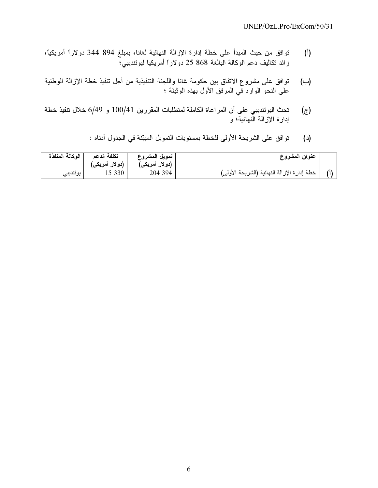- (أ) توافق من حيث المبدأ على خطة إدارة الإزالة النهائية لغانا، بمبلغ 894 344 دولاراً أمريكياً، ز الد تكاليف دعم الوكالة البالغة 868 25 دولاراً أمريكياً ليوئنديبي؟
- (ب) توافق على مشروع الاتفاق بين حكومة غانا واللجنة التنفيذية من أجل تنفيذ خطة الإزالة الوطنية على النحو الوارد في المرفق الأول بهذه الوثيقة ؛
- ج) تحث اليوئنديبي على أن المراعاة الكاملة لمتطلبات المقررين 100/41 و 6/49 خلال نتفيذ خطة إدار ة الإز الة الَّنهائية؛ و
	- (د) توافق على الشريحة الأولى للخطة بمستويات التمويل المبيّنة في الجدول أدناه :

| الوكالة المنفذة | تكلفة الدعم<br>(دو لار أمريكي) | تمويل المشروع<br>(دو لار أمريكي) | عنوان المشروع                               |  |
|-----------------|--------------------------------|----------------------------------|---------------------------------------------|--|
| ا بوئنديبي      | 15 330                         | 204 394                          | خطة إدارة الإزالة النهائية (الشريحة الأولى) |  |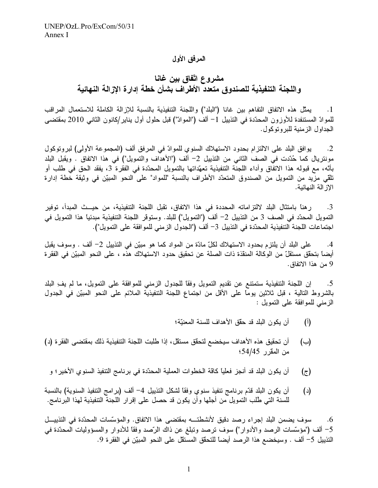#### المرفق الأول

مشروع اتّفاق بين غانـا واللجنة التنفيذية للصندوق متعدد الأطراف بشأن خطة إدارة الإزالة النهائية

يمثِّل هذه الاتفاق التفاهم بين غانا ("البلد") واللجنة التنفيذية بالنسبة للإزالة الكاملة للاستعمال المراقب  $\cdot \cdot 1$ للموادّ المستنفدة للأوزون المحدّدة في التذييل 1– ألف ("الموادّ") قبل حلول أول يناير/كانون الثانـي 2010 بمقتضـي الجداول الزمنية للبروتوكول.

يوافق البلد على الالتزام بحدود الاستهلاك السنوي للموادّ في المرفق ألف (المجموعة الأولى) لبروتوكول  $\cdot$ .2 مونتريال كما حُدّدت في الصف الثاني من التذييل 2– ألف ("الأهداف والتمويل") في هذا الاتفاق . ويقبل البلد بأنّه، مع قبوله هذا الاتفاق وأداء اللجنة التنفيذية تعهّداتها بالتمويل المحدّدة في الفقرة 3، يفقد الحق في طلب أو تلقى مزيد من التمويل من الصندوق المتعدّد الأطراف بالنسبة "للمواد" على النحو المبيّن في وثيقة خطة إدارة الاز الة النهائية.

ر هنا بامتثال البلد لالتزاماته المحددة في هذا الاتفاق، تقبل اللجنة التنفيذية، من حيــث المبدأ، توفير  $\cdot$ 3 التمويل المحدّد في الصف 3 من التذييل 2– ألف ("التمويل") للبلد. وستوقر اللجنة التنفيذية مبدئياً هذا التمويل في اجتماعات اللجنة التنفيذية المحدّدة في التذييل 3– ألف ("الجدول الزمني للموافقة على التمويل").

على البلد أن يلتزم بحدود الاستهلاك لكلِّ مادَّة من المواد كما هو مبيِّن في التذييل 2– ألف . وسوف يقبل  $.4$ أيضاً بتحقِّق مستقلٍّ من الوكالة المنقذة ذات الصلة عن تحقيق حدود الاستهلاك هذه ، على النحو المبيّن في الفقر ة 9 من هذا الاتفاق.

إن اللجنة التنفيذية ستمتنع عن تقديم التمويل وفقًا للجدول الزمني للموافقة على التمويل، ما لم يف البلد  $.5$ بالشروط التالية ، قبل ثلاثين يومًا على الأقل من اجتماع اللجنة التنفيذية الملائم على النحو المبيّن في الجدول الزمني للموافقة على التمويل :

- أن يكون البلد قد حقق الأهداف للسنة المعنيّة؛  $\binom{1}{1}$
- أن تحقيق هذه الأهداف سيخضع لتحقق مستقل، إذا طلبت اللجنة التنفيذية ذلك بمقتضى الفقر ة (د)  $(\rightarrow)$ من المقرر 54/45؛
- أن يكون البلد قد أنجز فعلياً كاقة الخطوات العملية المحدّدة في برنامج التنفيذ السنوى الأخير ؛ و  $(\tau)$
- أن يكون البلد قدَّم برنامج نتفيذ سنوي وفقًا لشكل النذييل 4– ألف (برامج النتفيذ السنوية) بالنسبة  $(\text{c})$ للسنة التي طُلب التمويل من أجلها وأن يكون قد حصل على إقرار اللجنة التنفيذية لهذا البرنامج.

سوف يضمن البلد إجراء رصد دقيق لأنشطته بمقتضى هذا الاتفاق. والمؤسَّسات المحدَّدة في التذييــل  $.6$ 5– ألف ("مؤسَّسات الرصد والأدوار") سوف ترصد وتبلغ عن ذاك الرَّصد وفقًا للأدوار والمسؤوليات المحدّدة في النّذييل 5– ألف . وسيخضع هذا الرصد أيضاً للتحقّق المستقل على النحو المبيّن في الفقر ة 9.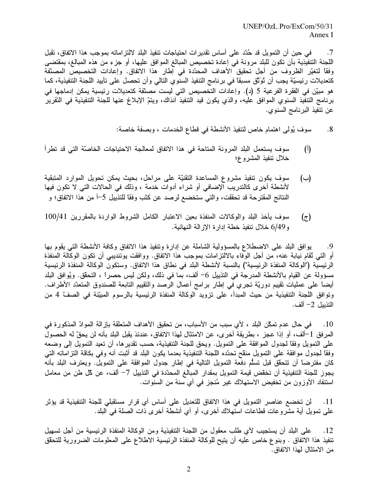في حين أن التمويل قد حُدّد على أساس تقدير ات احتياجات تنفيذ البلد لالتز اماته بموجب هذا الاتفاق، تقبل  $\cdot$ .7 اللجنة التنفيذية بأن تكون للبلد مرونة في إعادة تخصيص المبالغ الموافق عليها، أو جزء من هذه المبالغ، بمقتضى وفقًا لتغيِّر الظروف من أجل تحقيق الأهداف المحدِّدة في إطار هذا الاتفاق. وإعادات التخصيص المصنِّفة كتعديلات رئيسيّة يجب أن تُوَّتَق مسبقاً في برنامج التنفيذ السنوي التالي وأن تحصل على تأييد اللجنة التنفيذية، كما هو مبيّن في الفقرة الفرعية 5 (د). وإعادات التخصيص التي ليست مصنّفة كتعديلات رئيسية يمكن إدماجها في برنامج التنفيذ السنوي الموافق عليه، والذي يكون قيد التنفيذ أنذاك، ويتمّ الإبلاغ عنها للجنة التنفيذية في التقرير عن تنفيذ البرنامج السنوي.

- سوف يُولِّي اهتمام خاص لتنفيذ الأنشطة في قطاع الخدمات ، وبصفة خاصة:  $.8$
- $(1)$ سوف يستعمل البلد المرونة المتاحة في هذا الاتفاق لمعالجة الاحتياجات الخاصّة التي قد تطرأ خلال ننفيذ المشروع؛
- سوف يكون تنفيذ مشروع المساعدة التقنيّة على مراحل، بحيث يمكن تحويل الموارد المتبقية  $(\rightarrow)$ لأنشطة أخرى كالتدريب الإضافي أو شراء أدوات خدمة ، وذلك في الحالات التي لا تكون فيها النتائج المقترحة قد تحققت، والتي ستخضع لرصد عن كثب وفقًا للتذييل 5–أ من هذا الاتفاق؛ و
- سوف يأخذ البلد والوكالات المنفذة بعين الاعتبار الكامل الشروط الواردة بالمقررين 100/41  $(\tau)$ و 6/49 خلال تنفيذ خطة إدار ة الإز الة النهائية.

يوافق البلد على الاضطلاع بالمسؤولية الشاملة عن إدارة وتنفيذ هذا الاتفاق وكافة الأنشطة التبي يقوم بـها .9 أو التي تُقام نيابة عنه، من أجل الوفاء بالالتزامات بموجب هذا الاتفاق. ووافقت يوئنديبي أن تكون الوكالة المنفذة الرئيسية ("الوكالة المنفذة الرئيسية") بالنسبة لأنشطة البلد في نطاق هذا الاتفاق. وستكون الوكالة المنفذة الرئيسية مسؤولة عن القيام بالأنشطة المدرجة في التذييل 6– ألف، بما في ذلك، ولكن ليس حصراً ، التحقُّق. ويُوافق البلد أيضاً على عمليات نقييم دوريّة تجري في إطار برامج أعمال الرصد والنقييم التابعة للصندوق المتعدّد الأطراف. وتوافق اللجنة التنفيذية من حيث المبدأ، على تزويد الوكالة المنفذة الرئيسية بالرسوم المبيّنة في الصفّ 4 من التذييل 2– ألف.

10 . في حال عدم تمكّن البلد ، لأي سبب من الأسباب، من تحقيق الأهداف المتعلّقة بإز الة الموادّ المذكور ة في المر فق 1–ألف، أو إذا عجز ، بطريقة أخر ي، عن الامتثال لهذا الاتفاق، عندئذ يقبل البلد بأنه لن يحقّ له الحصول على النمويل وفقًا لجدول الموافقة على النمويل. ويحق للجنة التنفيذية، حسب تقدير ها، أن نعيد النمويل إلى وضعه وفقًا لجدول موافقة على التمويل منقح تحدّده اللجنة التنفيذية بعدما يكون البلد قد أثبت أنه وفي بكاقة التز اماته التي كان مفترضاً أن نتحقّق قبل تسلُّم دفعة التمويل التالية في إطار جدول الموافقة على التمويل. ويعترف البلد بأنه يجوز للجنة التنفيذية أن تخقَّض قيمة التمويل بمقدار المبالغ المحدّدة في التذييل 7– ألف، عن كل طن من معامل استنفاد الأوزون من تخفيض الاستهلاك غير مُنجز في أي سنة من السنوات.

لن تخضـع عناصـر التمويل في هذا الاتفاق للتعديل على أساس أي قر ار مستقبلي للجنة التنفيذية قد يؤثر  $.11$ على نمويل أية مشروعات قطاعات استهلاك أخرى، أو أي أنشطة أخرى ذات الصلة في البلد.

على البلد أن يستجيب لأي طلب معقول من اللجنة التنفيذية ومن الوكالة المنفذة الرئيسية من أجل تسهيل  $\cdot$ 12 تنفيذ هذا الاتفاق . وبنوع خاص عليه أن يتيح للوكالة المنفذة الرئيسية الاطلاع على المعلومات الضرورية للتحقق من الامتثال لهذا الاتفاق.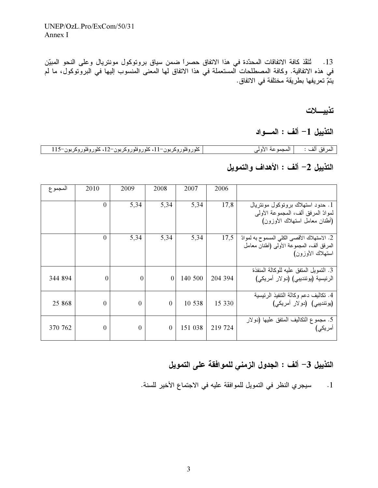13. ثَنَقَذ كافة الاتفاقات المحدّدة في هذا الاتفاق حصراً ضمن سياق بروتوكول مونتريال وعلى النحو المبيّن في هذه الاتفاقية. وكافة المصطلحات المستعملة في هذا الاتفاق لها المعنى المنسوب إليها في البروتوكول، ما لم يتمّ تعريفها بطريقة مختلفة في الاتفاق.

تذييسلات

التذييل 1– ألف : المسواد

| كلور وفلوروكربون–11، كلور وفلور وكربون–12، كلور وفلور وكربون–115 | المرفق ألف :         المجموعة الأولى |  |
|------------------------------------------------------------------|--------------------------------------|--|

## التذييل 2– ألف : الأهداف والتمويل

| المجمو ع | 2010           | 2009           | 2008     | 2007    | 2006    |                                                                                                              |
|----------|----------------|----------------|----------|---------|---------|--------------------------------------------------------------------------------------------------------------|
|          | $\overline{0}$ | 5,34           | 5,34     | 5.34    | 17,8    | 1. حدود استهلاك بروتوكول مونتريال<br>لموادّ المرفق ألف، المجموعة الأولى<br>(أطنان معامل استهلاك الأوزون)     |
|          | $\theta$       | 5,34           | 5,34     | 5,34    | 17,5    | 2. الاستهلاك الأقصىي الكلي المسموح به لموادّ<br>المرفق ألف، المجموعة الأولى (أطنان معامل<br>استهلاك الأوزون) |
| 344 894  | $\theta$       | $\Omega$       | $\theta$ | 140 500 | 204 394 | 3. النمويل المتفق عليه للوكالة المنفذة<br>الرئيسية (يوئنديبي) (دولار أمريكي)                                 |
| 25 868   | $\overline{0}$ | $\theta$       | $\Omega$ | 10 538  | 15 330  | 4. تكاليف دعم وكالة النتفيذ الرئيسية<br>(یوئندیبی) (دولار أمریکی)                                            |
| 370 762  | $\theta$       | $\overline{0}$ | $\theta$ | 151 038 | 219 724 | 5. مجموع التكاليف المتفق عليها (دولار<br>آمريكي)                                                             |

# التذييل 3– ألف : الجدول الزمني للموافقة على التمويل

1. سيجري النظر في التمويل للموافقة عليه في الاجتماع الأخير للسنة.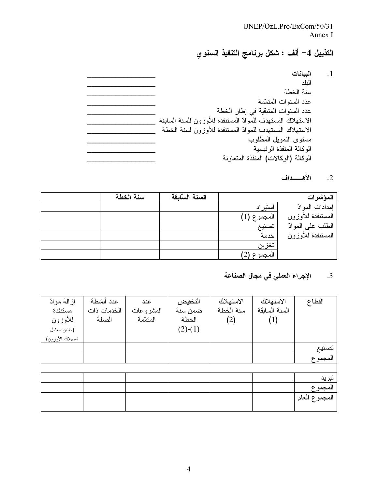### UNEP/OzL.Pro/ExCom/50/31 Annex I

# التذييل 4– ألف : شكل برنامج التنفيذ السنوي

| البيانات                                                   |
|------------------------------------------------------------|
| الىلد                                                      |
| سنة الخطة                                                  |
| عدد السنوات المتَمّمة                                      |
| عدد السنوات المتبقية في إطار الخطة                         |
| الاستهلاك المستهدف للموادّ المستنفدة للأوزون للسنة السابقة |
| الاستهلاك المستهدف للموادّ المستنفدة للأوزون لسنة الخطة    |
| مستوى التمويل المطلوب                                      |
| الوكالة المنفذة الرئيسية                                   |
| الوكالة (الوكالات) المنفذة المتعاونة                       |

#### 2. الأهسداف

 $\overline{\phantom{a}}$ .1

| سنة الخطة | السنة السابقة |          | المؤشرات          |
|-----------|---------------|----------|-------------------|
|           |               | استير اد | إمدادات الموادّ   |
|           |               | المجموع  | المستنفدة للأوزون |
|           |               | تصنيع    | الطلب على الموادّ |
|           |               | خدمة     | المستنفدة للأوزون |
|           |               | تخزين    |                   |
|           |               | المجموع  |                   |

#### الإجراء العملي في مجال الصناعة  $\cdot$ 3

| القطاع        | الاستهلاك     | الاستهلاك | التخفيض   | عدد       | عدد أنشطة   | إز المة موادّ    |
|---------------|---------------|-----------|-----------|-----------|-------------|------------------|
|               | السنة السابقة | سنة الخطة | ضمن سنة   | المشروعات | الخدمات ذات | مستنفدة          |
|               | (1)           | (2)       | الخطة     | المتممة   | الصلة       | للأوزون          |
|               |               |           | $(2)-(1)$ |           |             | (أطنان معامل     |
|               |               |           |           |           |             | استهلاك الأوزون) |
| تصنيع         |               |           |           |           |             |                  |
| المجموع       |               |           |           |           |             |                  |
|               |               |           |           |           |             |                  |
| تبريد         |               |           |           |           |             |                  |
| المجموع       |               |           |           |           |             |                  |
| المجموع العام |               |           |           |           |             |                  |
|               |               |           |           |           |             |                  |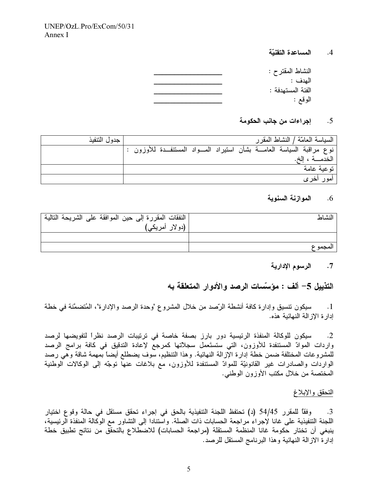المساعدة التقنبّة  $\cdot$ .4

| النشاط المقترح :  |
|-------------------|
| المدف :           |
| الفئة المستهدفة : |
| الوقع :           |
|                   |

إجراءات من جانب الحكومة  $.5$ 

| جدول التنفيذ |  | السياسة العامّة / النشاط المقر ر                                            |
|--------------|--|-----------------------------------------------------------------------------|
|              |  | نوع مراقبة السياسة العامـــة بشأن استيراد المــــواد المستنفـــدة للأوزون : |
|              |  | الخدمـــة ، الخ.                                                            |
|              |  | توعية عامة                                                                  |
|              |  | امور اخر <i>ی</i>                                                           |

#### الموازنة السنوية  $.6$

| النشاط  | النفقات المقررة إلى حين الموافقة على الشريحة التالية |
|---------|------------------------------------------------------|
|         | (دو لار أمريكي)                                      |
|         |                                                      |
| المجموع |                                                      |

#### الرسوم الإدارية  $\cdot$ 7

التذييل 5– ألف : مؤسّسات الرصد والأدوار المتعلقة به

سيكون تتسيق وإدارة كافة أنشطة الرّصد من خلال المشروع "وحدة الرصد والإدارة"، المُتضمَّنة في خطة  $\overline{\phantom{0}}$ .1 إدار ة الإز الة النهائية هذه.

سيكون للوكالة المنفذة الرئيسية دور بارز بصفة خاصة في ترتيبات الرصد نظراً لتفويضها لرصد  $\cdot$ .2 واردات الموادّ المستنفدة للأوزون، التي ستستَعمل سجلاتها كمرجع لإعادة التدقيق في كافة برامج الرصد للمشروعات المختلفة ضمن خطة إدارة الإزالة النهائية. وهذا التنظيم، سُّوف يضطلع أيضاً بمهمة شاقة وهَّى رصد الواردات والصادرات غير القانونيّة للموادّ المستنفدة للأوزون، مع بلاغات عنها نوجّه إلى الوكالات الوطنية المختصة من خلال مكتب الأوزون الوطني.

### التحقق والإبلاغ

وفقًا للمقرر 54/45 (د) تحتفظ اللجنة التنفيذية بالحق في إجراء تحقق مستقل في حالة وقوع اختيار .3 اللجنة التنفيذية على غانا لإجراء مراجعة الحسابات ذات الصلة. واستنادا إلى التشاور مع الوكالة المنفذة الرئيسية، ينبغي أن تختار حكومة غانا المنظمة المستقلة (مراجعة الحسابات) للاضطلاع بالتحقُّق من نتائج تطبيق خطة إدار ة الاز الــة النـهائيـة و هذا البرنـامج المستقل للرصد.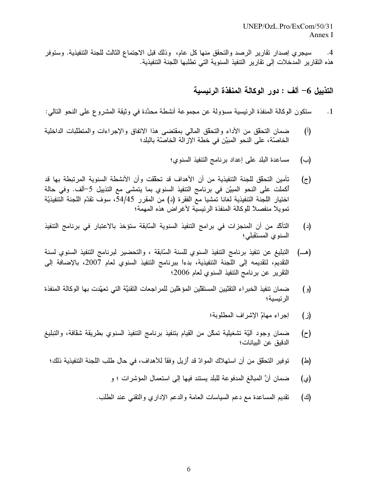سيجري إصدار نقارير الرصد والتحقق منها كل عام، وذلك قبل الاجتماع الثالث للجنة التنفيذية. وستوفر  $.4$ هذه التقارير المدخلات إلى تقارير التنفيذ السنوية التي تطلبها اللجنة التنفيذية.

التذييل 6– ألف : دور الوكالـة المنفذة الرئيسية

- ستكون الوكالة المنفذة الرئيسية مسؤولة عن مجموعة أنشطة محدَّدة في وثيقة المشروع على النحو التالي:  $\cdot$ 1
- ضمان التحقق من الأداء والتحقق المالي بمقتضىي هذا الاتفاق والإجراءات والمتطلبات الداخلية  $(1)$ الخاصَّة، على النحو المبيّن في خطة الإزالة الخاصَّة بالبلد؛
	- مساعدة البلد على إعداد برنامج التنفيذ السنوى؛ (ب)
- تأمين التحقُّق للجنة التنفيذية من أن الأهداف قد تحقَّفت وأن الأنشطة السنوية المرتبطة بها قد  $(\tau)$ أكملت على النحو المبيّن في برنامج التنفيذ السنوي بما يتمشى مع التذييل 5–ألف. وفي حالة اختيار اللجنة التنفيذية لغانا تمشيا مع الفقر ة (د) من المقرر 54/45، سوف تقدّم اللجنة التنفيذيّة تمويلاً منفصلاً للوكالة المنفذة الرئيسية لأغراض هذه المهمة؛
- التَأَكّد من أن المنجزات في برامج التنفيذ السنوية السّابقة ستؤخذ بالاعتبار في برنامج التنفيذ  $(\iota)$ السنوى المستقبلي؛
- التبليغ عن تنفيذ برنامج التنفيذ السنوي للسنة السَّابقة ، والتحضير لبرنامج التنفيذ السنوي لسنة (هـــ) التقديم، لتقديمه إلى اللجنة التنفيذية، بدءاً ببرنامج التنفيذ السنوي لعام 2007، بالإضافة إلى النقرير عن برنامج التنفيذ السنوي لعام 2006؛
- ضمان تنفيذ الخبر اء التقنّيين المستقلّين المؤهّلين للمر اجعات التقنيَّة التي تعهّدت بها الوكالة المنفذة  $\left( \begin{smallmatrix} 0 \\ 0 \end{smallmatrix} \right)$ الرئيسية؛
	- إجراء مهامّ الإشراف المطلوبة؛  $(i)$
- ضمان وجود ألَّيَّة تشغيلية تمكَّن من القيام بتنفيذ برنامج التنفيذ السنوي بطريقة شقافة، والتبليغ  $(\tau)$ الدقيق عن البيانات؛
	- توفير التحقُّق من أن استهلاك الموادّ قد أزيل وفقًا للأهداف، في حال طلب اللجنة التنفيذية ذلك؛ (스)
		- ضمان أنَّ المبالغ المدفوعة للبلد يستند فيها إلى استعمال المؤشرات ؛ و (ي)
		- تُقديم المساعدة مع دعم السياسات العامة والدعم الإداري والنُّقني عند الطلب. (ජ)